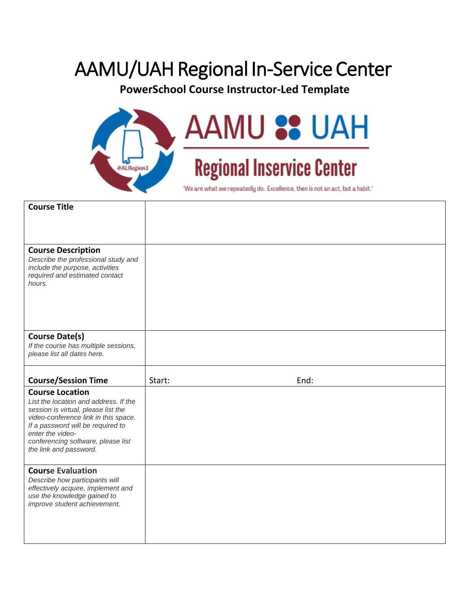## AAMU/UAH Regional In-Service Center

**PowerSchool Course Instructor-Led Template** 



"We are what we repeatedly do. Excellence, then is not an act, but a habit."

| <b>Course Title</b>                                                                                                                             |                |  |
|-------------------------------------------------------------------------------------------------------------------------------------------------|----------------|--|
|                                                                                                                                                 |                |  |
|                                                                                                                                                 |                |  |
| <b>Course Description</b><br>Describe the professional study and<br>include the purpose, activities<br>required and estimated contact<br>hours. |                |  |
| <b>Course Date(s)</b>                                                                                                                           |                |  |
| If the course has multiple sessions,<br>please list all dates here.                                                                             |                |  |
|                                                                                                                                                 |                |  |
|                                                                                                                                                 |                |  |
| <b>Course/Session Time</b><br><b>Course Location</b>                                                                                            | End:<br>Start: |  |
| List the location and address. If the<br>session is virtual, please list the<br>video-conference link in this space.                            |                |  |
| If a password will be required to<br>enter the video-                                                                                           |                |  |
| conferencing software, please list<br>the link and password.                                                                                    |                |  |
| <b>Course Evaluation</b>                                                                                                                        |                |  |
| Describe how participants will<br>effectively acquire, implement and<br>use the knowledge gained to<br>improve student achievement.             |                |  |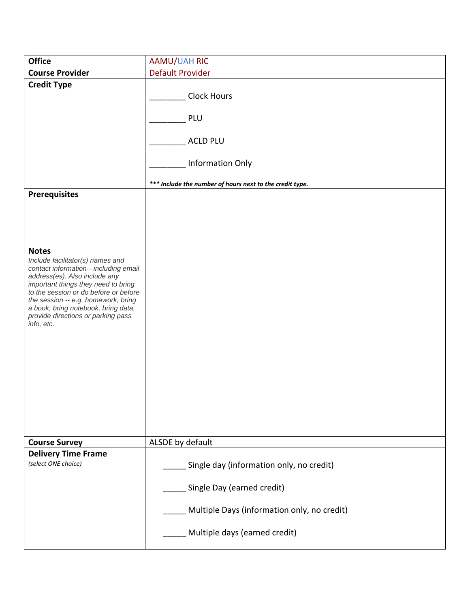| <b>Office</b>                                                                                                                                                                                                                                                                                                                              | <b>AAMU/UAH RIC</b>                                                                                                                                    |  |  |
|--------------------------------------------------------------------------------------------------------------------------------------------------------------------------------------------------------------------------------------------------------------------------------------------------------------------------------------------|--------------------------------------------------------------------------------------------------------------------------------------------------------|--|--|
| <b>Course Provider</b>                                                                                                                                                                                                                                                                                                                     | <b>Default Provider</b>                                                                                                                                |  |  |
| <b>Credit Type</b>                                                                                                                                                                                                                                                                                                                         | <b>Clock Hours</b><br>PLU<br><b>ACLD PLU</b><br><b>Information Only</b>                                                                                |  |  |
| <b>Prerequisites</b>                                                                                                                                                                                                                                                                                                                       | *** Include the number of hours next to the credit type.                                                                                               |  |  |
|                                                                                                                                                                                                                                                                                                                                            |                                                                                                                                                        |  |  |
| <b>Notes</b><br>Include facilitator(s) names and<br>contact information-including email<br>address(es). Also include any<br>important things they need to bring<br>to the session or do before or before<br>the session -- e.g. homework, bring<br>a book, bring notebook, bring data,<br>provide directions or parking pass<br>info, etc. |                                                                                                                                                        |  |  |
| <b>Course Survey</b>                                                                                                                                                                                                                                                                                                                       | ALSDE by default                                                                                                                                       |  |  |
| <b>Delivery Time Frame</b><br>(select ONE choice)                                                                                                                                                                                                                                                                                          | Single day (information only, no credit)<br>Single Day (earned credit)<br>Multiple Days (information only, no credit)<br>Multiple days (earned credit) |  |  |